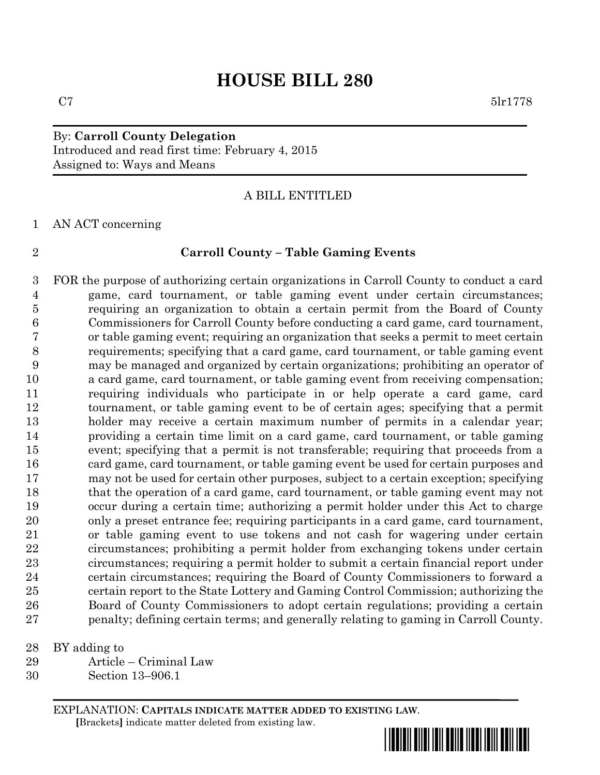# **HOUSE BILL 280**

## By: **Carroll County Delegation** Introduced and read first time: February 4, 2015 Assigned to: Ways and Means

### A BILL ENTITLED

AN ACT concerning

### **Carroll County – Table Gaming Events**

 FOR the purpose of authorizing certain organizations in Carroll County to conduct a card game, card tournament, or table gaming event under certain circumstances; requiring an organization to obtain a certain permit from the Board of County Commissioners for Carroll County before conducting a card game, card tournament, or table gaming event; requiring an organization that seeks a permit to meet certain requirements; specifying that a card game, card tournament, or table gaming event may be managed and organized by certain organizations; prohibiting an operator of a card game, card tournament, or table gaming event from receiving compensation; requiring individuals who participate in or help operate a card game, card tournament, or table gaming event to be of certain ages; specifying that a permit holder may receive a certain maximum number of permits in a calendar year; providing a certain time limit on a card game, card tournament, or table gaming event; specifying that a permit is not transferable; requiring that proceeds from a card game, card tournament, or table gaming event be used for certain purposes and may not be used for certain other purposes, subject to a certain exception; specifying that the operation of a card game, card tournament, or table gaming event may not occur during a certain time; authorizing a permit holder under this Act to charge only a preset entrance fee; requiring participants in a card game, card tournament, or table gaming event to use tokens and not cash for wagering under certain circumstances; prohibiting a permit holder from exchanging tokens under certain circumstances; requiring a permit holder to submit a certain financial report under certain circumstances; requiring the Board of County Commissioners to forward a certain report to the State Lottery and Gaming Control Commission; authorizing the Board of County Commissioners to adopt certain regulations; providing a certain penalty; defining certain terms; and generally relating to gaming in Carroll County.

BY adding to

- Article Criminal Law
- Section 13–906.1

EXPLANATION: **CAPITALS INDICATE MATTER ADDED TO EXISTING LAW**.  **[**Brackets**]** indicate matter deleted from existing law.

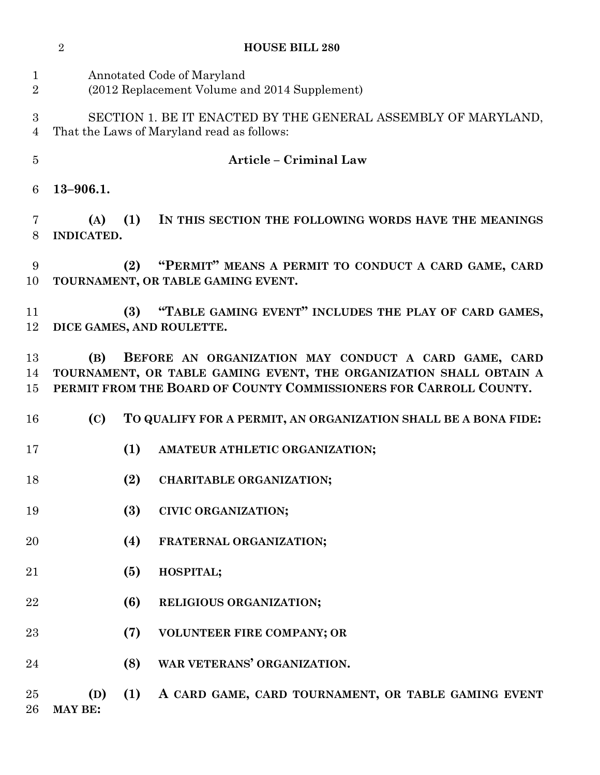|                                | $\overline{2}$                                                                                                                                                                                         |     | <b>HOUSE BILL 280</b>                                                                      |
|--------------------------------|--------------------------------------------------------------------------------------------------------------------------------------------------------------------------------------------------------|-----|--------------------------------------------------------------------------------------------|
| $\mathbf{1}$<br>$\overline{2}$ | Annotated Code of Maryland<br>(2012 Replacement Volume and 2014 Supplement)                                                                                                                            |     |                                                                                            |
| 3<br>$\overline{4}$            | SECTION 1. BE IT ENACTED BY THE GENERAL ASSEMBLY OF MARYLAND,<br>That the Laws of Maryland read as follows:                                                                                            |     |                                                                                            |
| $\overline{5}$                 |                                                                                                                                                                                                        |     | <b>Article - Criminal Law</b>                                                              |
| 6                              | $13 - 906.1.$                                                                                                                                                                                          |     |                                                                                            |
| 7<br>8                         | (A)<br>INDICATED.                                                                                                                                                                                      | (1) | IN THIS SECTION THE FOLLOWING WORDS HAVE THE MEANINGS                                      |
| 9<br>10                        |                                                                                                                                                                                                        | (2) | "PERMIT" MEANS A PERMIT TO CONDUCT A CARD GAME, CARD<br>TOURNAMENT, OR TABLE GAMING EVENT. |
| 11<br>12                       |                                                                                                                                                                                                        | (3) | "TABLE GAMING EVENT" INCLUDES THE PLAY OF CARD GAMES,<br>DICE GAMES, AND ROULETTE.         |
| 13<br>14<br>15                 | BEFORE AN ORGANIZATION MAY CONDUCT A CARD GAME, CARD<br>(B)<br>TOURNAMENT, OR TABLE GAMING EVENT, THE ORGANIZATION SHALL OBTAIN A<br>PERMIT FROM THE BOARD OF COUNTY COMMISSIONERS FOR CARROLL COUNTY. |     |                                                                                            |
| 16                             | (C)                                                                                                                                                                                                    |     | TO QUALIFY FOR A PERMIT, AN ORGANIZATION SHALL BE A BONA FIDE:                             |
| 17                             |                                                                                                                                                                                                        | (1) | AMATEUR ATHLETIC ORGANIZATION;                                                             |
| 18                             |                                                                                                                                                                                                        |     | (2) CHARITABLE ORGANIZATION;                                                               |
| 19                             |                                                                                                                                                                                                        | (3) | <b>CIVIC ORGANIZATION;</b>                                                                 |
| 20                             |                                                                                                                                                                                                        | (4) | FRATERNAL ORGANIZATION;                                                                    |
| 21                             |                                                                                                                                                                                                        | (5) | HOSPITAL;                                                                                  |
| 22                             |                                                                                                                                                                                                        | (6) | RELIGIOUS ORGANIZATION;                                                                    |
| 23                             |                                                                                                                                                                                                        | (7) | VOLUNTEER FIRE COMPANY; OR                                                                 |
| 24                             |                                                                                                                                                                                                        | (8) | WAR VETERANS' ORGANIZATION.                                                                |
| 25<br>26                       | (D)<br><b>MAY BE:</b>                                                                                                                                                                                  | (1) | A CARD GAME, CARD TOURNAMENT, OR TABLE GAMING EVENT                                        |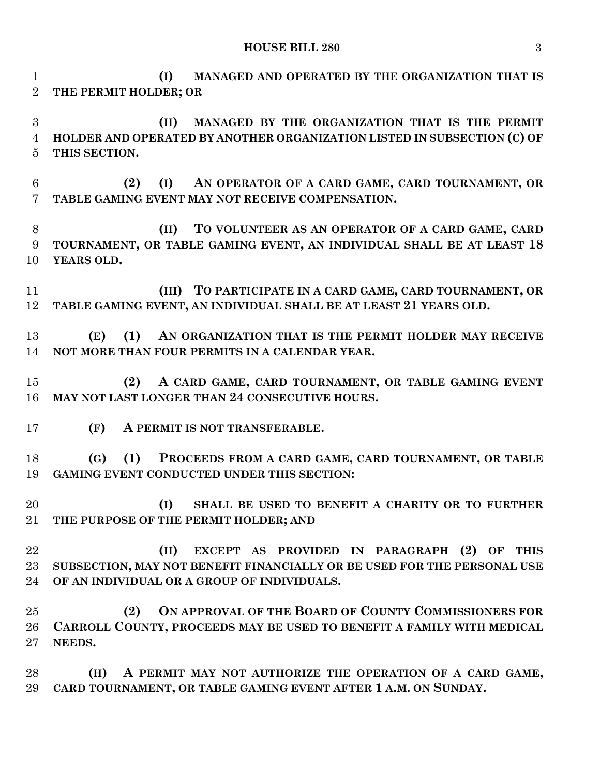**HOUSE BILL 280** 3

 **(I) MANAGED AND OPERATED BY THE ORGANIZATION THAT IS THE PERMIT HOLDER; OR (II) MANAGED BY THE ORGANIZATION THAT IS THE PERMIT HOLDER AND OPERATED BY ANOTHER ORGANIZATION LISTED IN SUBSECTION (C) OF THIS SECTION. (2) (I) AN OPERATOR OF A CARD GAME, CARD TOURNAMENT, OR TABLE GAMING EVENT MAY NOT RECEIVE COMPENSATION. (II) TO VOLUNTEER AS AN OPERATOR OF A CARD GAME, CARD TOURNAMENT, OR TABLE GAMING EVENT, AN INDIVIDUAL SHALL BE AT LEAST 18 YEARS OLD. (III) TO PARTICIPATE IN A CARD GAME, CARD TOURNAMENT, OR TABLE GAMING EVENT, AN INDIVIDUAL SHALL BE AT LEAST 21 YEARS OLD. (E) (1) AN ORGANIZATION THAT IS THE PERMIT HOLDER MAY RECEIVE NOT MORE THAN FOUR PERMITS IN A CALENDAR YEAR.**

 **(2) A CARD GAME, CARD TOURNAMENT, OR TABLE GAMING EVENT MAY NOT LAST LONGER THAN 24 CONSECUTIVE HOURS.**

**(F) A PERMIT IS NOT TRANSFERABLE.**

 **(G) (1) PROCEEDS FROM A CARD GAME, CARD TOURNAMENT, OR TABLE GAMING EVENT CONDUCTED UNDER THIS SECTION:**

 **(I) SHALL BE USED TO BENEFIT A CHARITY OR TO FURTHER THE PURPOSE OF THE PERMIT HOLDER; AND** 

 **(II) EXCEPT AS PROVIDED IN PARAGRAPH (2) OF THIS SUBSECTION, MAY NOT BENEFIT FINANCIALLY OR BE USED FOR THE PERSONAL USE OF AN INDIVIDUAL OR A GROUP OF INDIVIDUALS.**

 **(2) ON APPROVAL OF THE BOARD OF COUNTY COMMISSIONERS FOR CARROLL COUNTY, PROCEEDS MAY BE USED TO BENEFIT A FAMILY WITH MEDICAL NEEDS.**

 **(H) A PERMIT MAY NOT AUTHORIZE THE OPERATION OF A CARD GAME, CARD TOURNAMENT, OR TABLE GAMING EVENT AFTER 1 A.M. ON SUNDAY.**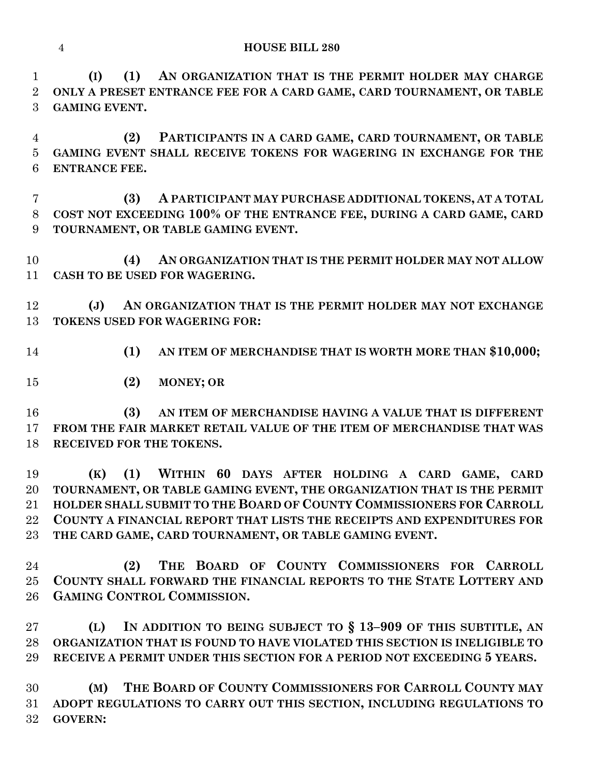**(I) (1) AN ORGANIZATION THAT IS THE PERMIT HOLDER MAY CHARGE ONLY A PRESET ENTRANCE FEE FOR A CARD GAME, CARD TOURNAMENT, OR TABLE GAMING EVENT.**

 **(2) PARTICIPANTS IN A CARD GAME, CARD TOURNAMENT, OR TABLE GAMING EVENT SHALL RECEIVE TOKENS FOR WAGERING IN EXCHANGE FOR THE ENTRANCE FEE.**

 **(3) A PARTICIPANT MAY PURCHASE ADDITIONAL TOKENS, AT A TOTAL COST NOT EXCEEDING 100% OF THE ENTRANCE FEE, DURING A CARD GAME, CARD TOURNAMENT, OR TABLE GAMING EVENT.**

 **(4) AN ORGANIZATION THAT IS THE PERMIT HOLDER MAY NOT ALLOW CASH TO BE USED FOR WAGERING.**

 **(J) AN ORGANIZATION THAT IS THE PERMIT HOLDER MAY NOT EXCHANGE TOKENS USED FOR WAGERING FOR:**

- **(1) AN ITEM OF MERCHANDISE THAT IS WORTH MORE THAN \$10,000;**
- **(2) MONEY; OR**

 **(3) AN ITEM OF MERCHANDISE HAVING A VALUE THAT IS DIFFERENT FROM THE FAIR MARKET RETAIL VALUE OF THE ITEM OF MERCHANDISE THAT WAS RECEIVED FOR THE TOKENS.**

 **(K) (1) WITHIN 60 DAYS AFTER HOLDING A CARD GAME, CARD TOURNAMENT, OR TABLE GAMING EVENT, THE ORGANIZATION THAT IS THE PERMIT HOLDER SHALL SUBMIT TO THE BOARD OF COUNTY COMMISSIONERS FOR CARROLL COUNTY A FINANCIAL REPORT THAT LISTS THE RECEIPTS AND EXPENDITURES FOR THE CARD GAME, CARD TOURNAMENT, OR TABLE GAMING EVENT.**

 **(2) THE BOARD OF COUNTY COMMISSIONERS FOR CARROLL COUNTY SHALL FORWARD THE FINANCIAL REPORTS TO THE STATE LOTTERY AND GAMING CONTROL COMMISSION.**

 **(L) IN ADDITION TO BEING SUBJECT TO § 13–909 OF THIS SUBTITLE, AN ORGANIZATION THAT IS FOUND TO HAVE VIOLATED THIS SECTION IS INELIGIBLE TO RECEIVE A PERMIT UNDER THIS SECTION FOR A PERIOD NOT EXCEEDING 5 YEARS.**

 **(M) THE BOARD OF COUNTY COMMISSIONERS FOR CARROLL COUNTY MAY ADOPT REGULATIONS TO CARRY OUT THIS SECTION, INCLUDING REGULATIONS TO GOVERN:**